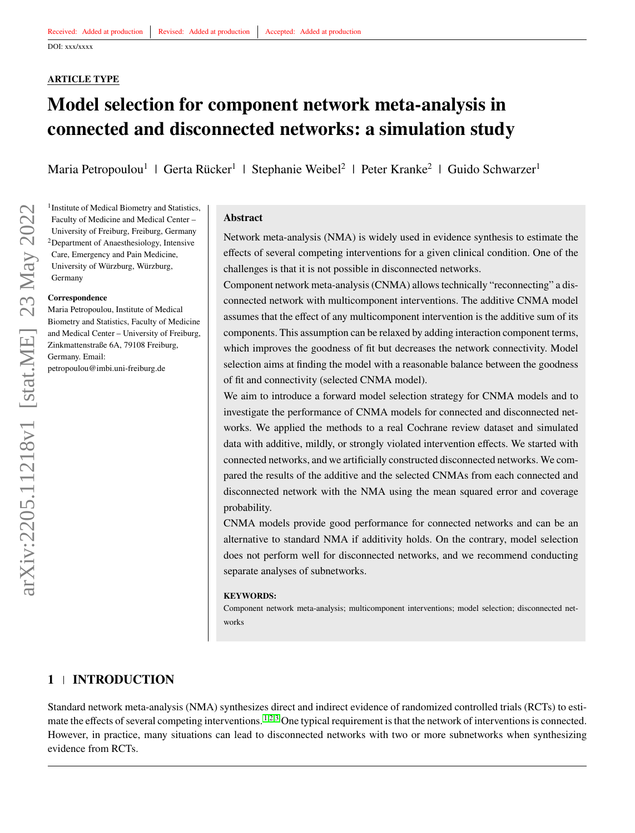## **ARTICLE TYPE**

# **Model selection for component network meta-analysis in connected and disconnected networks: a simulation study**

Maria Petropoulou<sup>1</sup> | Gerta Rücker<sup>1</sup> | Stephanie Weibel<sup>2</sup> | Peter Kranke<sup>2</sup> | Guido Schwarzer<sup>1</sup>

<sup>1</sup> Institute of Medical Biometry and Statistics, Faculty of Medicine and Medical Center – University of Freiburg, Freiburg, Germany <sup>2</sup>Department of Anaesthesiology, Intensive Care, Emergency and Pain Medicine, University of Würzburg, Würzburg, Germany

#### **Correspondence**

Maria Petropoulou, Institute of Medical Biometry and Statistics, Faculty of Medicine and Medical Center – University of Freiburg, Zinkmattenstraße 6A, 79108 Freiburg, Germany. Email: petropoulou@imbi.uni-freiburg.de

#### **Abstract**

Network meta-analysis (NMA) is widely used in evidence synthesis to estimate the effects of several competing interventions for a given clinical condition. One of the challenges is that it is not possible in disconnected networks.

Component network meta-analysis (CNMA) allows technically "reconnecting" a disconnected network with multicomponent interventions. The additive CNMA model assumes that the effect of any multicomponent intervention is the additive sum of its components. This assumption can be relaxed by adding interaction component terms, which improves the goodness of fit but decreases the network connectivity. Model selection aims at finding the model with a reasonable balance between the goodness of fit and connectivity (selected CNMA model).

We aim to introduce a forward model selection strategy for CNMA models and to investigate the performance of CNMA models for connected and disconnected networks. We applied the methods to a real Cochrane review dataset and simulated data with additive, mildly, or strongly violated intervention effects. We started with connected networks, and we artificially constructed disconnected networks. We compared the results of the additive and the selected CNMAs from each connected and disconnected network with the NMA using the mean squared error and coverage probability.

CNMA models provide good performance for connected networks and can be an alternative to standard NMA if additivity holds. On the contrary, model selection does not perform well for disconnected networks, and we recommend conducting separate analyses of subnetworks.

#### **KEYWORDS:**

Component network meta-analysis; multicomponent interventions; model selection; disconnected networks

# **1 INTRODUCTION**

Standard network meta-analysis (NMA) synthesizes direct and indirect evidence of randomized controlled trials (RCTs) to esti-mate the effects of several competing interventions. <sup>[1,](#page-14-0)[2](#page-14-1)[,3](#page-15-0)</sup> One typical requirement is that the network of interventions is connected. However, in practice, many situations can lead to disconnected networks with two or more subnetworks when synthesizing evidence from RCTs.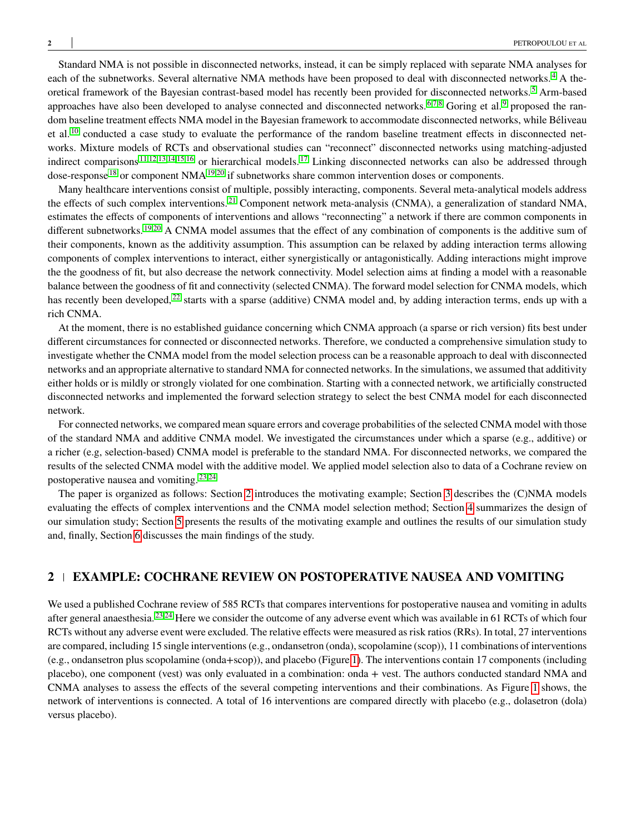Standard NMA is not possible in disconnected networks, instead, it can be simply replaced with separate NMA analyses for each of the subnetworks. Several alternative NMA methods have been proposed to deal with disconnected networks.<sup>[4](#page-15-1)</sup> A theoretical framework of the Bayesian contrast-based model has recently been provided for disconnected networks. [5](#page-15-2) Arm-based approaches have also been developed to analyse connected and disconnected networks.  $6,7,8$  $6,7,8$  $6,7,8$  Goring et al. [9](#page-15-6) proposed the random baseline treatment effects NMA model in the Bayesian framework to accommodate disconnected networks, while Béliveau et al.<sup>[10](#page-15-7)</sup> conducted a case study to evaluate the performance of the random baseline treatment effects in disconnected networks. Mixture models of RCTs and observational studies can "reconnect" disconnected networks using matching-adjusted indirect comparisons<sup>[11,](#page-15-8)[12](#page-15-9)[,13](#page-15-10)[,14](#page-15-11)[,15,](#page-15-12)[16](#page-15-13)</sup> or hierarchical models.<sup>[17](#page-15-14)</sup> Linking disconnected networks can also be addressed through dose-response <sup>[18](#page-15-15)</sup> or component NMA<sup>[19,](#page-15-16)[20](#page-16-0)</sup> if subnetworks share common intervention doses or components.

Many healthcare interventions consist of multiple, possibly interacting, components. Several meta-analytical models address the effects of such complex interventions.<sup>[21](#page-16-1)</sup> Component network meta-analysis (CNMA), a generalization of standard NMA, estimates the effects of components of interventions and allows "reconnecting" a network if there are common components in different subnetworks. [19](#page-15-16)[,20](#page-16-0) A CNMA model assumes that the effect of any combination of components is the additive sum of their components, known as the additivity assumption. This assumption can be relaxed by adding interaction terms allowing components of complex interventions to interact, either synergistically or antagonistically. Adding interactions might improve the the goodness of fit, but also decrease the network connectivity. Model selection aims at finding a model with a reasonable balance between the goodness of fit and connectivity (selected CNMA). The forward model selection for CNMA models, which has recently been developed,<sup>[22](#page-16-2)</sup> starts with a sparse (additive) CNMA model and, by adding interaction terms, ends up with a rich CNMA.

At the moment, there is no established guidance concerning which CNMA approach (a sparse or rich version) fits best under different circumstances for connected or disconnected networks. Therefore, we conducted a comprehensive simulation study to investigate whether the CNMA model from the model selection process can be a reasonable approach to deal with disconnected networks and an appropriate alternative to standard NMA for connected networks. In the simulations, we assumed that additivity either holds or is mildly or strongly violated for one combination. Starting with a connected network, we artificially constructed disconnected networks and implemented the forward selection strategy to select the best CNMA model for each disconnected network.

For connected networks, we compared mean square errors and coverage probabilities of the selected CNMA model with those of the standard NMA and additive CNMA model. We investigated the circumstances under which a sparse (e.g., additive) or a richer (e.g, selection-based) CNMA model is preferable to the standard NMA. For disconnected networks, we compared the results of the selected CNMA model with the additive model. We applied model selection also to data of a Cochrane review on postoperative nausea and vomiting. [23,](#page-16-3)[24](#page-16-4)

The paper is organized as follows: Section [2](#page-1-0) introduces the motivating example; Section [3](#page-2-0) describes the (C)NMA models evaluating the effects of complex interventions and the CNMA model selection method; Section [4](#page-5-0) summarizes the design of our simulation study; Section [5](#page-8-0) presents the results of the motivating example and outlines the results of our simulation study and, finally, Section [6](#page-13-0) discusses the main findings of the study.

# <span id="page-1-0"></span>**2 EXAMPLE: COCHRANE REVIEW ON POSTOPERATIVE NAUSEA AND VOMITING**

We used a published Cochrane review of 585 RCTs that compares interventions for postoperative nausea and vomiting in adults after general anaesthesia. [23,](#page-16-3)[24](#page-16-4) Here we consider the outcome of any adverse event which was available in 61 RCTs of which four RCTs without any adverse event were excluded. The relative effects were measured as risk ratios (RRs). In total, 27 interventions are compared, including 15 single interventions (e.g., ondansetron (onda), scopolamine (scop)), 11 combinations of interventions (e.g., ondansetron plus scopolamine (onda+scop)), and placebo (Figure [1\)](#page-2-1). The interventions contain 17 components (including placebo), one component (vest) was only evaluated in a combination: onda + vest. The authors conducted standard NMA and CNMA analyses to assess the effects of the several competing interventions and their combinations. As Figure [1](#page-2-1) shows, the network of interventions is connected. A total of 16 interventions are compared directly with placebo (e.g., dolasetron (dola) versus placebo).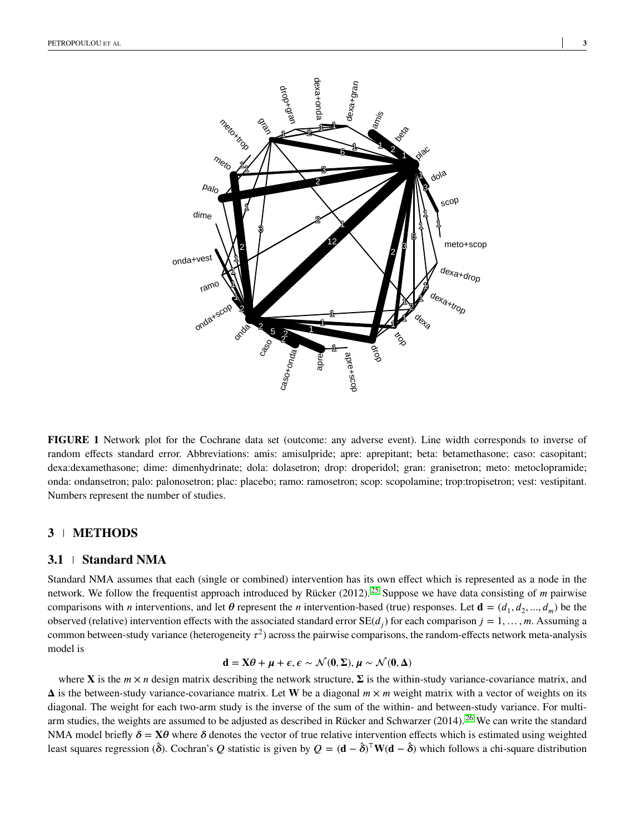<span id="page-2-1"></span>

**FIGURE 1** Network plot for the Cochrane data set (outcome: any adverse event). Line width corresponds to inverse of random effects standard error. Abbreviations: amis: amisulpride; apre: aprepitant; beta: betamethasone; caso: casopitant; dexa:dexamethasone; dime: dimenhydrinate; dola: dolasetron; drop: droperidol; gran: granisetron; meto: metoclopramide; onda: ondansetron; palo: palonosetron; plac: placebo; ramo: ramosetron; scop: scopolamine; trop:tropisetron; vest: vestipitant. Numbers represent the number of studies.

# <span id="page-2-0"></span>**3 METHODS**

#### **3.1 Standard NMA**

Standard NMA assumes that each (single or combined) intervention has its own effect which is represented as a node in the network. We follow the frequentist approach introduced by Rücker (2012).<sup>[25](#page-16-5)</sup> Suppose we have data consisting of *m* pairwise comparisons with *n* interventions, and let  $\theta$  represent the *n* intervention-based (true) responses. Let  $\mathbf{d} = (d_1, d_2, ..., d_m)$  be the observed (relative) intervention effects with the associated standard error  $SE(d_j)$  for each comparison  $j = 1, \ldots, m$ . Assuming a common between-study variance (heterogeneity  $\tau^2$ ) across the pairwise comparisons, the random-effects network meta-analysis model is

$$
d=X\theta+\mu+\epsilon, \epsilon \sim \mathcal{N}(0,\Sigma), \mu \sim \mathcal{N}(0,\Delta)
$$

where **X** is the  $m \times n$  design matrix describing the network structure,  $\Sigma$  is the within-study variance-covariance matrix, and  $\Delta$  is the between-study variance-covariance matrix. Let **W** be a diagonal  $m \times m$  weight matrix with a vector of weights on its diagonal. The weight for each two-arm study is the inverse of the sum of the within- and between-study variance. For multiarm studies, the weights are assumed to be adjusted as described in Rücker and Schwarzer (2014). [26](#page-16-6) We can write the standard NMA model briefly  $\delta = X\theta$  where  $\delta$  denotes the vector of true relative intervention effects which is estimated using weighted least squares regression ( $\hat{\delta}$ ). Cochran's *Q* statistic is given by *Q* = (**d** −  $\hat{\delta}$ )<sup>T</sup>W(**d** −  $\hat{\delta}$ ) which follows a chi-square distribution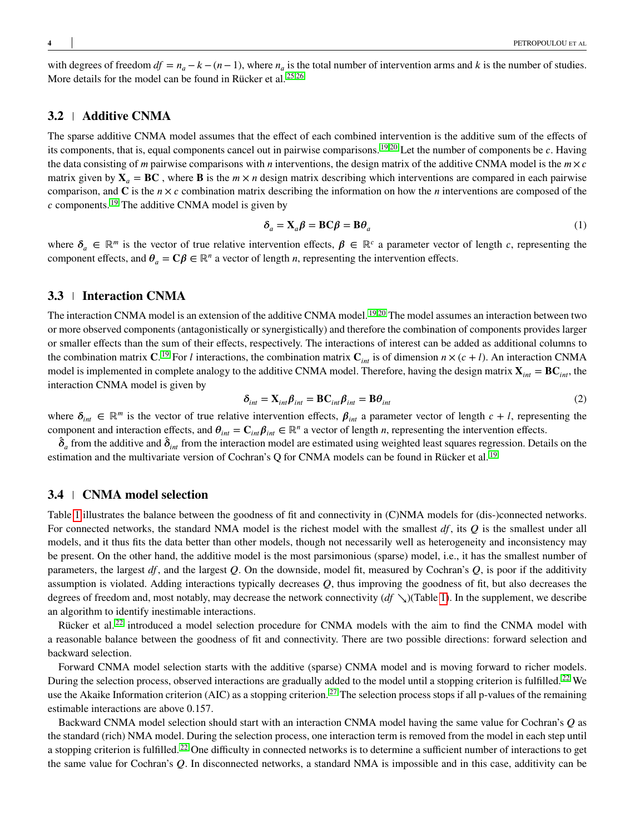with degrees of freedom  $df = n_a - k - (n - 1)$ , where  $n_a$  is the total number of intervention arms and k is the number of studies. More details for the model can be found in Rücker et al. [25,](#page-16-5)[26](#page-16-6)

#### **3.2 Additive CNMA**

The sparse additive CNMA model assumes that the effect of each combined intervention is the additive sum of the effects of its components, that is, equal components cancel out in pairwise comparisons. <sup>[19,](#page-15-16)[20](#page-16-0)</sup> Let the number of components be *c*. Having the data consisting of *m* pairwise comparisons with *n* interventions, the design matrix of the additive CNMA model is the  $m \times c$ matrix given by  $X_a = BC$ , where **B** is the  $m \times n$  design matrix describing which interventions are compared in each pairwise comparison, and  $\bf{C}$  is the  $n \times c$  combination matrix describing the information on how the *n* interventions are composed of the *c* components. <sup>[19](#page-15-16)</sup> The additive CNMA model is given by

$$
\delta_a = \mathbf{X}_a \boldsymbol{\beta} = \mathbf{B} \mathbf{C} \boldsymbol{\beta} = \mathbf{B} \boldsymbol{\theta}_a \tag{1}
$$

where  $\delta_a \in \mathbb{R}^m$  is the vector of true relative intervention effects,  $\beta \in \mathbb{R}^c$  a parameter vector of length *c*, representing the component effects, and  $\theta_a = \mathbf{C}\beta \in \mathbb{R}^n$  a vector of length *n*, representing the intervention effects.

# **3.3 Interaction CNMA**

The interaction CNMA model is an extension of the additive CNMA model. <sup>[19,](#page-15-16)[20](#page-16-0)</sup> The model assumes an interaction between two or more observed components (antagonistically or synergistically) and therefore the combination of components provides larger or smaller effects than the sum of their effects, respectively. The interactions of interest can be added as additional columns to the combination matrix **C**.<sup>[19](#page-15-16)</sup> For *l* interactions, the combination matrix  $\mathbf{C}_{int}$  is of dimension  $n \times (c + l)$ . An interaction CNMA model is implemented in complete analogy to the additive CNMA model. Therefore, having the design matrix  $\mathbf{X}_{int} = \mathbf{B} \mathbf{C}_{int}$ , the interaction CNMA model is given by

$$
\delta_{int} = \mathbf{X}_{int} \beta_{int} = \mathbf{B} \mathbf{C}_{int} \beta_{int} = \mathbf{B} \theta_{int}
$$
 (2)

where  $\delta_{int} \in \mathbb{R}^m$  is the vector of true relative intervention effects,  $\beta_{int}$  a parameter vector of length  $c + l$ , representing the component and interaction effects, and  $\theta_{int} = \mathbf{C}_{int} \beta_{int} \in \mathbb{R}^n$  a vector of length *n*, representing the intervention effects.

 $\hat{\delta}_a$  from the additive and  $\hat{\delta}_{int}$  from the interaction model are estimated using weighted least squares regression. Details on the estimation and the multivariate version of Cochran's Q for CNMA models can be found in Rücker et al.<sup>[19](#page-15-16)</sup>

#### <span id="page-3-0"></span>**3.4 CNMA model selection**

Table [1](#page-4-0) illustrates the balance between the goodness of fit and connectivity in (C)NMA models for (dis-)connected networks. For connected networks, the standard NMA model is the richest model with the smallest *df*, its *Q* is the smallest under all models, and it thus fits the data better than other models, though not necessarily well as heterogeneity and inconsistency may be present. On the other hand, the additive model is the most parsimonious (sparse) model, i.e., it has the smallest number of parameters, the largest *df*, and the largest *Q*. On the downside, model fit, measured by Cochran's *Q*, is poor if the additivity assumption is violated. Adding interactions typically decreases *Q*, thus improving the goodness of fit, but also decreases the degrees of freedom and, most notably, may decrease the network connectivity (*df* ↘)(Table [1\)](#page-4-0). In the supplement, we describe an algorithm to identify inestimable interactions.

Rücker et al.<sup>[22](#page-16-2)</sup> introduced a model selection procedure for CNMA models with the aim to find the CNMA model with a reasonable balance between the goodness of fit and connectivity. There are two possible directions: forward selection and backward selection.

Forward CNMA model selection starts with the additive (sparse) CNMA model and is moving forward to richer models. During the selection process, observed interactions are gradually added to the model until a stopping criterion is fulfilled.<sup>[22](#page-16-2)</sup> We use the Akaike Information criterion (AIC) as a stopping criterion.<sup>[27](#page-16-7)</sup> The selection process stops if all p-values of the remaining estimable interactions are above 0.157.

Backward CNMA model selection should start with an interaction CNMA model having the same value for Cochran's *Q* as the standard (rich) NMA model. During the selection process, one interaction term is removed from the model in each step until a stopping criterion is fulfilled. [22](#page-16-2) One difficulty in connected networks is to determine a sufficient number of interactions to get the same value for Cochran's *Q*. In disconnected networks, a standard NMA is impossible and in this case, additivity can be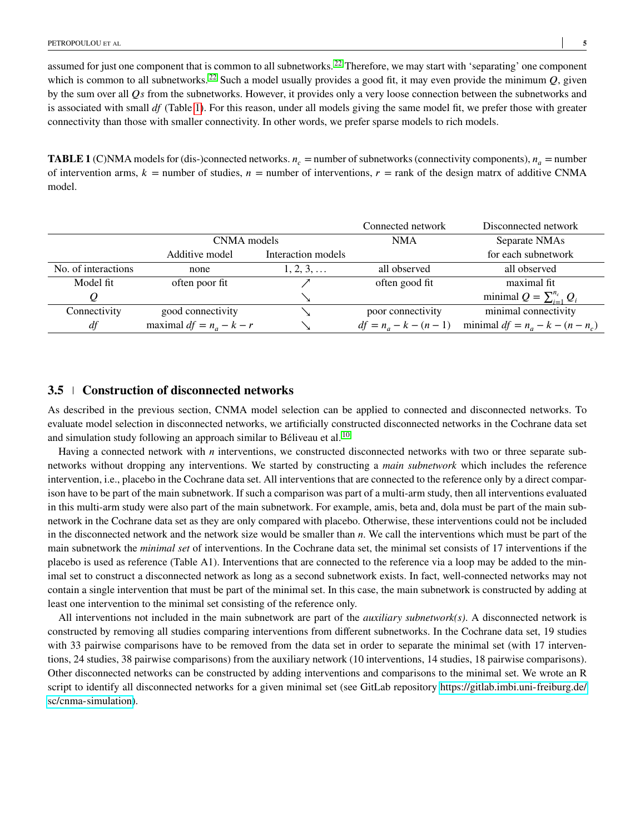assumed for just one component that is common to all subnetworks.<sup>[22](#page-16-2)</sup> Therefore, we may start with 'separating' one component which is common to all subnetworks.<sup>[22](#page-16-2)</sup> Such a model usually provides a good fit, it may even provide the minimum  $Q$ , given by the sum over all *Qs* from the subnetworks. However, it provides only a very loose connection between the subnetworks and is associated with small *df* (Table [1\)](#page-4-0). For this reason, under all models giving the same model fit, we prefer those with greater connectivity than those with smaller connectivity. In other words, we prefer sparse models to rich models.

<span id="page-4-0"></span>**TABLE 1** (C)NMA models for (dis-)connected networks.  $n_c$  = number of subnetworks (connectivity components),  $n_a$  = number of intervention arms,  $k =$  number of studies,  $n =$  number of interventions,  $r =$  rank of the design matrx of additive CNMA model.

|                     |                                      |                   | Connected network        | Disconnected network               |
|---------------------|--------------------------------------|-------------------|--------------------------|------------------------------------|
|                     | CNMA models                          |                   | <b>NMA</b>               | Separate NMAs                      |
|                     | Interaction models<br>Additive model |                   |                          | for each subnetwork                |
| No. of interactions | none                                 | $1, 2, 3, \ldots$ | all observed             | all observed                       |
| Model fit           | often poor fit                       |                   | often good fit           | maximal fit                        |
|                     |                                      |                   |                          | minimal $Q = \sum_{i=1}^{n_c} Q_i$ |
| Connectivity        | good connectivity                    |                   | poor connectivity        | minimal connectivity               |
| df                  | maximal $df = n_a - k - r$           |                   | $df = n_a - k - (n - 1)$ | minimal $df = n_a - k - (n - n_c)$ |

## <span id="page-4-1"></span>**3.5 Construction of disconnected networks**

As described in the previous section, CNMA model selection can be applied to connected and disconnected networks. To evaluate model selection in disconnected networks, we artificially constructed disconnected networks in the Cochrane data set and simulation study following an approach similar to Béliveau et al. [10](#page-15-7)

Having a connected network with *n* interventions, we constructed disconnected networks with two or three separate subnetworks without dropping any interventions. We started by constructing a *main subnetwork* which includes the reference intervention, i.e., placebo in the Cochrane data set. All interventions that are connected to the reference only by a direct comparison have to be part of the main subnetwork. If such a comparison was part of a multi-arm study, then all interventions evaluated in this multi-arm study were also part of the main subnetwork. For example, amis, beta and, dola must be part of the main subnetwork in the Cochrane data set as they are only compared with placebo. Otherwise, these interventions could not be included in the disconnected network and the network size would be smaller than *n*. We call the interventions which must be part of the main subnetwork the *minimal set* of interventions. In the Cochrane data set, the minimal set consists of 17 interventions if the placebo is used as reference (Table A1). Interventions that are connected to the reference via a loop may be added to the minimal set to construct a disconnected network as long as a second subnetwork exists. In fact, well-connected networks may not contain a single intervention that must be part of the minimal set. In this case, the main subnetwork is constructed by adding at least one intervention to the minimal set consisting of the reference only.

All interventions not included in the main subnetwork are part of the *auxiliary subnetwork(s)*. A disconnected network is constructed by removing all studies comparing interventions from different subnetworks. In the Cochrane data set, 19 studies with 33 pairwise comparisons have to be removed from the data set in order to separate the minimal set (with 17 interventions, 24 studies, 38 pairwise comparisons) from the auxiliary network (10 interventions, 14 studies, 18 pairwise comparisons). Other disconnected networks can be constructed by adding interventions and comparisons to the minimal set. We wrote an R script to identify all disconnected networks for a given minimal set (see GitLab repository [https://gitlab.imbi.uni-freiburg.de/](https://gitlab.imbi.uni-freiburg.de/sc/cnma-simulation) [sc/cnma-simulation\)](https://gitlab.imbi.uni-freiburg.de/sc/cnma-simulation).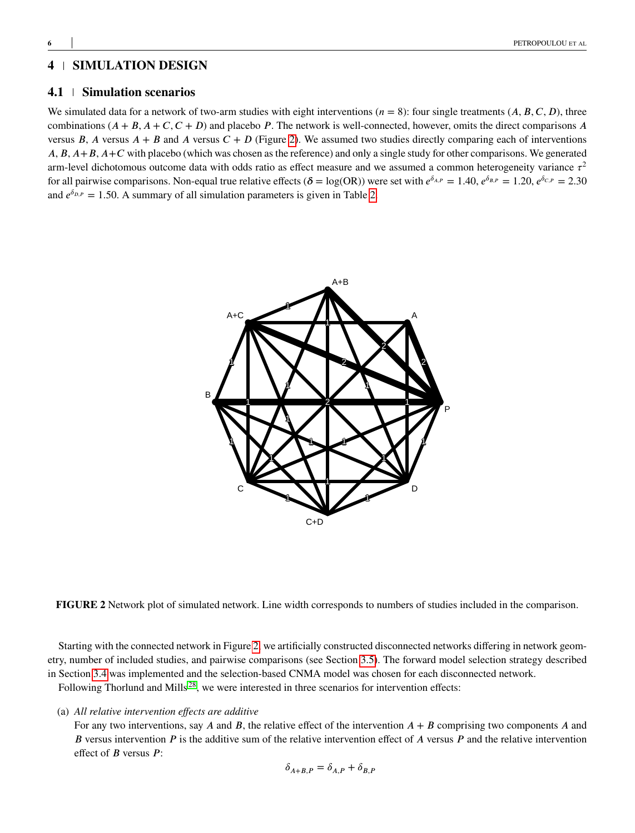# <span id="page-5-0"></span>**4 SIMULATION DESIGN**

## **4.1 Simulation scenarios**

<span id="page-5-1"></span>We simulated data for a network of two-arm studies with eight interventions  $(n = 8)$ : four single treatments  $(A, B, C, D)$ , three combinations  $(A + B, A + C, C + D)$  and placebo *P*. The network is well-connected, however, omits the direct comparisons *A* versus  $\overline{B}$ ,  $\overline{A}$  versus  $\overline{A} + \overline{B}$  and  $\overline{A}$  versus  $\overline{C} + \overline{D}$  (Figure [2\)](#page-5-1). We assumed two studies directly comparing each of interventions *A*, *B*, *A*+*B*, *A*+*C* with placebo (which was chosen as the reference) and only a single study for other comparisons. We generated arm-level dichotomous outcome data with odds ratio as effect measure and we assumed a common heterogeneity variance  $\tau^2$ for all pairwise comparisons. Non-equal true relative effects  $(\delta = \log(\text{OR}))$  were set with  $e^{\delta_{A,P}} = 1.40$ ,  $e^{\delta_{B,P}} = 1.20$ ,  $e^{\delta_{C,P}} = 2.30$ and  $e^{\delta_{D,P}} = 1.50$ . A summary of all simulation parameters is given in Table [2.](#page-6-0)



**FIGURE 2** Network plot of simulated network. Line width corresponds to numbers of studies included in the comparison.

Starting with the connected network in Figure [2,](#page-5-1) we artificially constructed disconnected networks differing in network geometry, number of included studies, and pairwise comparisons (see Section [3.5\)](#page-4-1). The forward model selection strategy described in Section [3.4](#page-3-0) was implemented and the selection-based CNMA model was chosen for each disconnected network.

Following Thorlund and Mills<sup>[28](#page-16-8)</sup>, we were interested in three scenarios for intervention effects:

(a) *All relative intervention effects are additive*

For any two interventions, say  $A$  and  $B$ , the relative effect of the intervention  $A + B$  comprising two components  $A$  and *B* versus intervention *P* is the additive sum of the relative intervention effect of *A* versus *P* and the relative intervention effect of *B* versus *P*:

$$
\delta_{A+B,P} = \delta_{A,P} + \delta_{B,P}
$$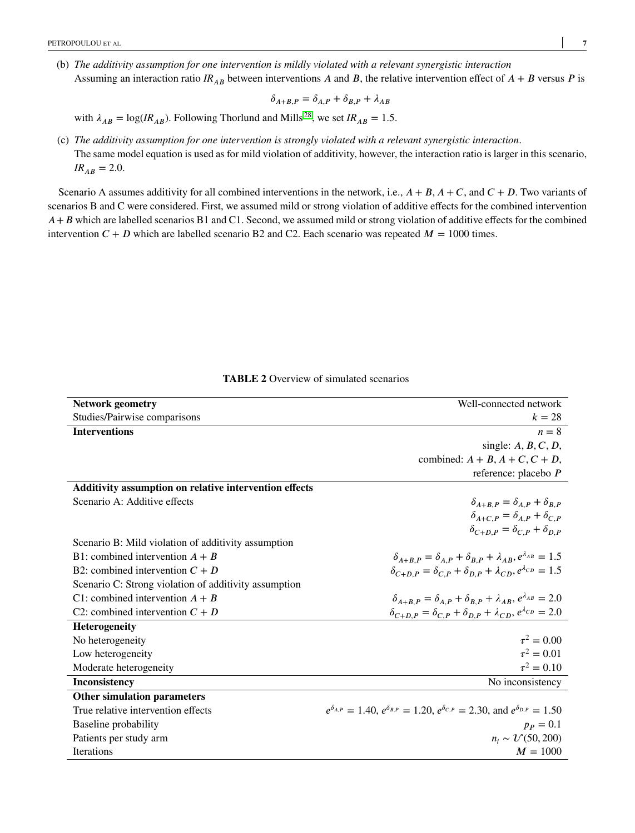(b) *The additivity assumption for one intervention is mildly violated with a relevant synergistic interaction* Assuming an interaction ratio  $IR_{AB}$  between interventions *A* and *B*, the relative intervention effect of  $A + B$  versus *P* is

$$
\delta_{A+B,P} = \delta_{A,P} + \delta_{B,P} + \lambda_{AB}
$$

with  $\lambda_{AB} = \log(I/R_{AB})$ . Following Thorlund and Mills<sup>[28](#page-16-8)</sup>, we set  $IR_{AB} = 1.5$ .

(c) *The additivity assumption for one intervention is strongly violated with a relevant synergistic interaction*. The same model equation is used as for mild violation of additivity, however, the interaction ratio is larger in this scenario,  $IR_{AB} = 2.0.$ 

Scenario A assumes additivity for all combined interventions in the network, i.e.,  $A + B$ ,  $A + C$ , and  $C + D$ . Two variants of scenarios B and C were considered. First, we assumed mild or strong violation of additive effects for the combined intervention *A* + *B* which are labelled scenarios B1 and C1. Second, we assumed mild or strong violation of additive effects for the combined intervention  $C + D$  which are labelled scenario B2 and C2. Each scenario was repeated  $M = 1000$  times.

<span id="page-6-0"></span>

| <b>Network geometry</b>                                | Well-connected network                                                                                     |
|--------------------------------------------------------|------------------------------------------------------------------------------------------------------------|
| Studies/Pairwise comparisons                           | $k=28$                                                                                                     |
| <b>Interventions</b>                                   | $n = 8$                                                                                                    |
|                                                        | single: $A, B, C, D$ ,                                                                                     |
|                                                        | combined: $A + B$ , $A + C$ , $C + D$ ,                                                                    |
|                                                        | reference: placebo $P$                                                                                     |
| Additivity assumption on relative intervention effects |                                                                                                            |
| Scenario A: Additive effects                           | $\delta_{A+B\ P} = \delta_{A\ P} + \delta_{B\ P}$                                                          |
|                                                        | $\delta_{A+C,P} = \delta_{A,P} + \delta_{C,P}$                                                             |
|                                                        | $\delta_{C+D,P} = \delta_{CP} + \delta_{DP}$                                                               |
| Scenario B: Mild violation of additivity assumption    |                                                                                                            |
| B1: combined intervention $A + B$                      | $\delta_{A+B,P} = \delta_{A,P} + \delta_{B,P} + \lambda_{AB}, e^{\lambda_{AB}} = 1.5$                      |
| B2: combined intervention $C + D$                      | $\delta_{C+D,P} = \delta_{C,P} + \delta_{D,P} + \lambda_{CD}, e^{\lambda_{CD}} = 1.5$                      |
| Scenario C: Strong violation of additivity assumption  |                                                                                                            |
| C1: combined intervention $A + B$                      | $\delta_{A+B,P} = \delta_{A,P} + \delta_{B,P} + \lambda_{AB}, e^{\lambda_{AB}} = 2.0$                      |
| C2: combined intervention $C + D$                      | $\delta_{C+D,P} = \delta_{C,P} + \delta_{D,P} + \lambda_{CD}$ , $e^{\lambda_{CD}} = 2.0$                   |
| Heterogeneity                                          |                                                                                                            |
| No heterogeneity                                       | $\tau^2 = 0.00$                                                                                            |
| Low heterogeneity                                      | $\tau^2 = 0.01$                                                                                            |
| Moderate heterogeneity                                 | $\tau^2 = 0.10$                                                                                            |
| Inconsistency                                          | No inconsistency                                                                                           |
| <b>Other simulation parameters</b>                     |                                                                                                            |
| True relative intervention effects                     | $e^{\delta_{A,P}} = 1.40, e^{\delta_{B,P}} = 1.20, e^{\delta_{C,P}} = 2.30,$ and $e^{\delta_{D,P}} = 1.50$ |
| Baseline probability                                   | $p_P = 0.1$                                                                                                |
| Patients per study arm                                 | $n_i \sim U(50, 200)$                                                                                      |
| <b>Iterations</b>                                      | $M = 1000$                                                                                                 |
|                                                        |                                                                                                            |

**TABLE 2** Overview of simulated scenarios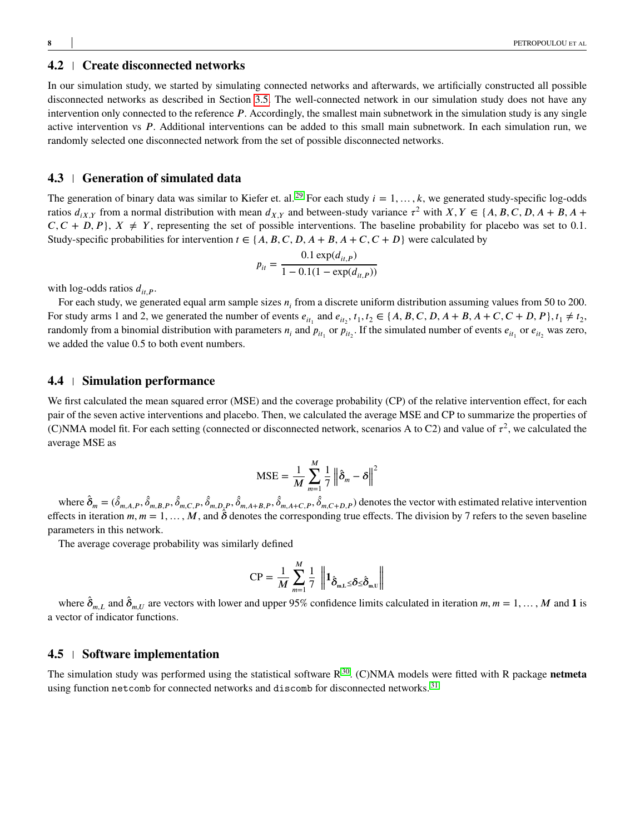# **4.2 Create disconnected networks**

In our simulation study, we started by simulating connected networks and afterwards, we artificially constructed all possible disconnected networks as described in Section [3.5.](#page-4-1) The well-connected network in our simulation study does not have any intervention only connected to the reference P. Accordingly, the smallest main subnetwork in the simulation study is any single active intervention vs P. Additional interventions can be added to this small main subnetwork. In each simulation run, we randomly selected one disconnected network from the set of possible disconnected networks.

# **4.3 Generation of simulated data**

The generation of binary data was similar to Kiefer et. al.<sup>[29](#page-16-9)</sup> For each study  $i = 1, ..., k$ , we generated study-specific log-odds ratios  $d_{iX,Y}$  from a normal distribution with mean  $d_{X,Y}$  and between-study variance  $\tau^2$  with  $X, Y \in \{A, B, C, D, A + B, A + B, A + B, B + B, C + B\}$  $C, C + D, P$ ,  $X \neq Y$ , representing the set of possible interventions. The baseline probability for placebo was set to 0.1. Study-specific probabilities for intervention  $t \in \{A, B, C, D, A + B, A + C, C + D\}$  were calculated by

$$
p_{it} = \frac{0.1 \exp(d_{it,P})}{1 - 0.1(1 - \exp(d_{it,P}))}
$$

with log-odds ratios  $d_{it}$ <sub>p</sub>.

For each study, we generated equal arm sample sizes  $n_i$  from a discrete uniform distribution assuming values from 50 to 200. For study arms 1 and 2, we generated the number of events  $e_{it_1}$  and  $e_{it_2}$ ,  $t_1, t_2 \in \{A, B, C, D, A + B, A + C, C + D, P\}$ ,  $t_1 \neq t_2$ , randomly from a binomial distribution with parameters  $n_i$  and  $p_{it_1}$  or  $p_{it_2}$ . If the simulated number of events  $e_{it_1}$  or  $e_{it_2}$  was zero, we added the value 0*.*5 to both event numbers.

#### **4.4 Simulation performance**

We first calculated the mean squared error (MSE) and the coverage probability (CP) of the relative intervention effect, for each pair of the seven active interventions and placebo. Then, we calculated the average MSE and CP to summarize the properties of (C)NMA model fit. For each setting (connected or disconnected network, scenarios A to C2) and value of  $\tau^2$ , we calculated the average MSE as

$$
MSE = \frac{1}{M} \sum_{m=1}^{M} \frac{1}{7} ||\hat{\delta}_m - \delta||^2
$$

where  $\hat{\delta}_m = (\hat{\delta}_{m,A,P}, \hat{\delta}_{m,B,P}, \hat{\delta}_{m,C,P}, \hat{\delta}_{m,D,P}, \hat{\delta}_{m,A+B,P}, \hat{\delta}_{m,A+C,P}, \hat{\delta}_{m,C+D,P})$  denotes the vector with estimated relative intervention effects in iteration  $m, m = 1, \ldots, M$ , and  $\delta$  denotes the corresponding true effects. The division by 7 refers to the seven baseline parameters in this network.

The average coverage probability was similarly defined

$$
\text{CP} = \frac{1}{M} \sum_{m=1}^{M} \frac{1}{7} \left\| \mathbf{1}_{\hat{\boldsymbol{\delta}}_{m,L} \leq \delta \leq \hat{\boldsymbol{\delta}}_{m,U}} \right\|
$$

where  $\hat{\delta}_{m,L}$  and  $\hat{\delta}_{m,U}$  are vectors with lower and upper 95% confidence limits calculated in iteration  $m, m = 1, \ldots, M$  and **1** is a vector of indicator functions.

#### **4.5 Software implementation**

The simulation study was performed using the statistical software  $R^{30}$  $R^{30}$  $R^{30}$ . (C)NMA models were fitted with R package **netmeta** using function netcomb for connected networks and discomb for disconnected networks.<sup>[31](#page-16-11)</sup>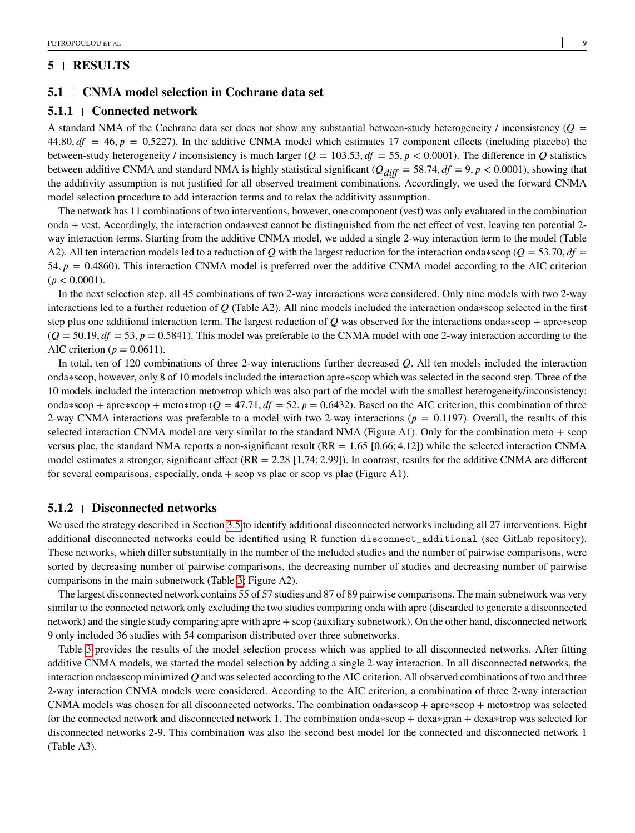## <span id="page-8-0"></span>**5 RESULTS**

#### **5.1 CNMA model selection in Cochrane data set**

#### **5.1.1 Connected network**

A standard NMA of the Cochrane data set does not show any substantial between-study heterogeneity  $\ell$  inconsistency ( $\mathcal{Q}$  = 44.80,  $df = 46$ ,  $p = 0.5227$ ). In the additive CNMA model which estimates 17 component effects (including placebo) the between-study heterogeneity / inconsistency is much larger ( $Q = 103.53$ ,  $df = 55$ ,  $p < 0.0001$ ). The difference in  $Q$  statistics between additive CNMA and standard NMA is highly statistical significant ( $Q_{diff} = 58.74$ ,  $df = 9$ ,  $p < 0.0001$ ), showing that the additivity assumption is not justified for all observed treatment combinations. Accordingly, we used the forward CNMA model selection procedure to add interaction terms and to relax the additivity assumption.

The network has 11 combinations of two interventions, however, one component (vest) was only evaluated in the combination onda + vest. Accordingly, the interaction onda∗vest cannot be distinguished from the net effect of vest, leaving ten potential 2 way interaction terms. Starting from the additive CNMA model, we added a single 2-way interaction term to the model (Table A2). All ten interaction models led to a reduction of *Q* with the largest reduction for the interaction onda∗scop ( $Q = 53.70$ ,  $df =$ 54,  $p = 0.4860$ ). This interaction CNMA model is preferred over the additive CNMA model according to the AIC criterion  $(p < 0.0001)$ .

In the next selection step, all 45 combinations of two 2-way interactions were considered. Only nine models with two 2-way interactions led to a further reduction of *𝑄* (Table A2). All nine models included the interaction onda∗scop selected in the first step plus one additional interaction term. The largest reduction of *Q* was observed for the interactions onda∗scop + apre∗scop  $(Q = 50.19, df = 53, p = 0.5841)$ . This model was preferable to the CNMA model with one 2-way interaction according to the AIC criterion ( $p = 0.0611$ ).

In total, ten of 120 combinations of three 2-way interactions further decreased *Q*. All ten models included the interaction onda∗scop, however, only 8 of 10 models included the interaction apre∗scop which was selected in the second step. Three of the 10 models included the interaction meto∗trop which was also part of the model with the smallest heterogeneity/inconsistency: onda∗scop + apre∗scop + meto∗trop ( $Q = 47.71$ ,  $df = 52$ ,  $p = 0.6432$ ). Based on the AIC criterion, this combination of three 2-way CNMA interactions was preferable to a model with two 2-way interactions ( $p = 0.1197$ ). Overall, the results of this selected interaction CNMA model are very similar to the standard NMA (Figure A1). Only for the combination meto  $+$  scop versus plac, the standard NMA reports a non-significant result (RR = 1*.*65 [0*.*66; 4*.*12]) while the selected interaction CNMA model estimates a stronger, significant effect (RR = 2*.*28 [1*.*74; 2*.*99]). In contrast, results for the additive CNMA are different for several comparisons, especially, onda + scop vs plac or scop vs plac (Figure A1).

#### **5.1.2 Disconnected networks**

We used the strategy described in Section [3.5](#page-4-1) to identify additional disconnected networks including all 27 interventions. Eight additional disconnected networks could be identified using R function disconnect\_additional (see GitLab repository). These networks, which differ substantially in the number of the included studies and the number of pairwise comparisons, were sorted by decreasing number of pairwise comparisons, the decreasing number of studies and decreasing number of pairwise comparisons in the main subnetwork (Table [3;](#page-9-0) Figure A2).

The largest disconnected network contains 55 of 57 studies and 87 of 89 pairwise comparisons. The main subnetwork was very similar to the connected network only excluding the two studies comparing onda with apre (discarded to generate a disconnected network) and the single study comparing apre with apre + scop (auxiliary subnetwork). On the other hand, disconnected network 9 only included 36 studies with 54 comparison distributed over three subnetworks.

Table [3](#page-9-0) provides the results of the model selection process which was applied to all disconnected networks. After fitting additive CNMA models, we started the model selection by adding a single 2-way interaction. In all disconnected networks, the interaction onda∗scop minimized *𝑄* and was selected according to the AIC criterion. All observed combinations of two and three 2-way interaction CNMA models were considered. According to the AIC criterion, a combination of three 2-way interaction CNMA models was chosen for all disconnected networks. The combination onda∗scop + apre∗scop + meto∗trop was selected for the connected network and disconnected network 1. The combination onda∗scop + dexa∗gran + dexa∗trop was selected for disconnected networks 2-9. This combination was also the second best model for the connected and disconnected network 1 (Table A3).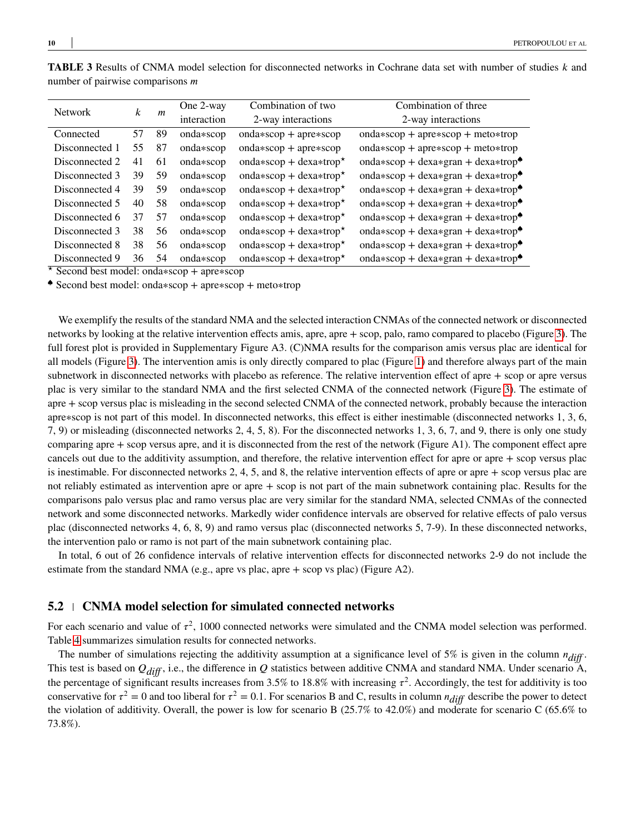| <b>Network</b> |    | m  | One 2-way   | Combination of two      | Combination of three                           |  |
|----------------|----|----|-------------|-------------------------|------------------------------------------------|--|
|                | k  |    | interaction | 2-way interactions      | 2-way interactions                             |  |
| Connected      | 57 | 89 | onda*scop   | $onda*scop + apre*scop$ | $onda*scop + apre*scop + meto*trop$            |  |
| Disconnected 1 | 55 | 87 | onda*scop   | $onda*scop + apre*scop$ | $onda*scop + apre*scop + meto*trop$            |  |
| Disconnected 2 | 41 | 61 | $onda*scop$ | onda*scop + dexa*trop*  | onda*scop + dexa*gran + dexa*trop $\triangle$  |  |
| Disconnected 3 | 39 | 59 | onda*scop   | onda*scop + dexa*trop*  | onda*scop + dexa*gran + dexa*trop <sup>*</sup> |  |
| Disconnected 4 | 39 | 59 | $onda*scop$ | onda*scop + dexa*trop*  | onda*scop + dexa*gran + dexa*trop $\bullet$    |  |
| Disconnected 5 | 40 | 58 | onda*scop   | onda*scop + dexa*trop*  | onda*scop + dexa*gran + dexa*trop $\triangle$  |  |
| Disconnected 6 | 37 | 57 | onda*scop   | onda*scop + dexa*trop*  | onda*scop + dexa*gran + dexa*trop <sup>*</sup> |  |
| Disconnected 3 | 38 | 56 | onda*scop   | onda*scop + dexa*trop*  | onda*scop + dexa*gran + dexa*trop $\bullet$    |  |
| Disconnected 8 | 38 | 56 | onda*scop   | onda*scop + dexa*trop*  | onda*scop + dexa*gran + dexa*trop $\bullet$    |  |
| Disconnected 9 | 36 | 54 | onda*scop   | onda*scop + dexa*trop*  | onda*scop + dexa*gran + dexa*trop <sup>*</sup> |  |

<span id="page-9-0"></span>**TABLE 3** Results of CNMA model selection for disconnected networks in Cochrane data set with number of studies  $k$  and number of pairwise comparisons *m* 

*<sup>⋆</sup>* Second best model: onda∗scop + apre∗scop

♠ Second best model: onda∗scop + apre∗scop + meto∗trop

We exemplify the results of the standard NMA and the selected interaction CNMAs of the connected network or disconnected networks by looking at the relative intervention effects amis, apre, apre + scop, palo, ramo compared to placebo (Figure [3\)](#page-10-0). The full forest plot is provided in Supplementary Figure A3. (C)NMA results for the comparison amis versus plac are identical for all models (Figure [3\)](#page-10-0). The intervention amis is only directly compared to plac (Figure [1\)](#page-2-1) and therefore always part of the main subnetwork in disconnected networks with placebo as reference. The relative intervention effect of apre + scop or apre versus plac is very similar to the standard NMA and the first selected CNMA of the connected network (Figure [3\)](#page-10-0). The estimate of apre + scop versus plac is misleading in the second selected CNMA of the connected network, probably because the interaction apre∗scop is not part of this model. In disconnected networks, this effect is either inestimable (disconnected networks 1, 3, 6, 7, 9) or misleading (disconnected networks 2, 4, 5, 8). For the disconnected networks 1, 3, 6, 7, and 9, there is only one study comparing apre + scop versus apre, and it is disconnected from the rest of the network (Figure A1). The component effect apre cancels out due to the additivity assumption, and therefore, the relative intervention effect for apre or apre + scop versus plac is inestimable. For disconnected networks 2, 4, 5, and 8, the relative intervention effects of apre or apre + scop versus plac are not reliably estimated as intervention apre or apre + scop is not part of the main subnetwork containing plac. Results for the comparisons palo versus plac and ramo versus plac are very similar for the standard NMA, selected CNMAs of the connected network and some disconnected networks. Markedly wider confidence intervals are observed for relative effects of palo versus plac (disconnected networks 4, 6, 8, 9) and ramo versus plac (disconnected networks 5, 7-9). In these disconnected networks, the intervention palo or ramo is not part of the main subnetwork containing plac.

In total, 6 out of 26 confidence intervals of relative intervention effects for disconnected networks 2-9 do not include the estimate from the standard NMA (e.g., apre vs plac, apre + scop vs plac) (Figure A2).

#### **5.2 CNMA model selection for simulated connected networks**

For each scenario and value of  $\tau^2$ , 1000 connected networks were simulated and the CNMA model selection was performed. Table [4](#page-11-0) summarizes simulation results for connected networks.

The number of simulations rejecting the additivity assumption at a significance level of 5% is given in the column  $n_{diff}$ . This test is based on  $Q_{diff}$ , i.e., the difference in *Q* statistics between additive CNMA and standard NMA. Under scenario A, the percentage of significant results increases from 3.5% to 18.8% with increasing  $\tau^2$ . Accordingly, the test for additivity is too conservative for  $\tau^2 = 0$  and too liberal for  $\tau^2 = 0.1$ . For scenarios B and C, results in column  $n_{diff}$  describe the power to detect the violation of additivity. Overall, the power is low for scenario B (25.7% to 42.0%) and moderate for scenario C (65.6% to 73.8%).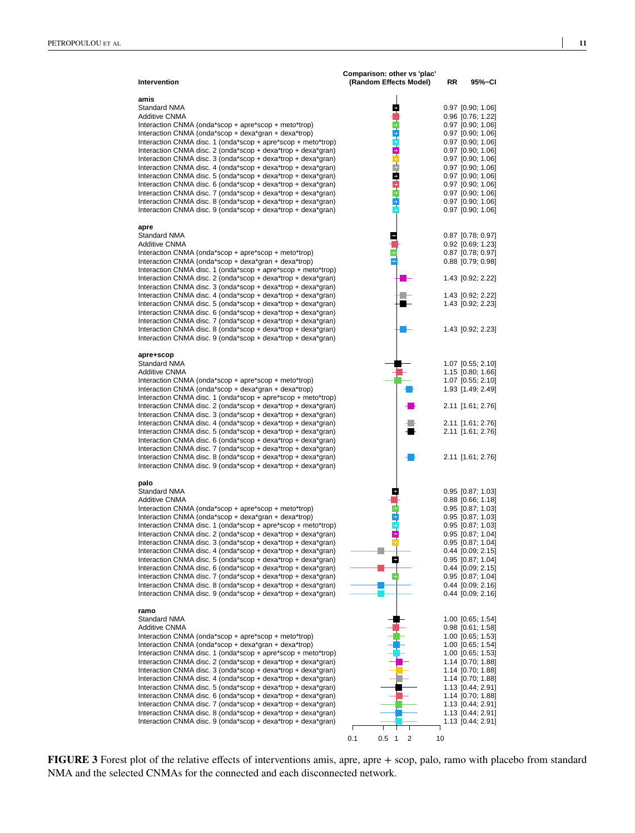<span id="page-10-0"></span>

| Intervention                                                                                                                                                                                                                                                                                                                                                                                                                                                                                                                                                                                                                                                                                                                                                             | Comparison: other vs 'plac'<br>(Random Effects Model) | RR | 95%–CI                                                                                                                                                                                                                                                                                              |
|--------------------------------------------------------------------------------------------------------------------------------------------------------------------------------------------------------------------------------------------------------------------------------------------------------------------------------------------------------------------------------------------------------------------------------------------------------------------------------------------------------------------------------------------------------------------------------------------------------------------------------------------------------------------------------------------------------------------------------------------------------------------------|-------------------------------------------------------|----|-----------------------------------------------------------------------------------------------------------------------------------------------------------------------------------------------------------------------------------------------------------------------------------------------------|
| amis<br><b>Standard NMA</b><br><b>Additive CNMA</b><br>Interaction CNMA (onda*scop + apre*scop + meto*trop)<br>Interaction CNMA (onda*scop + dexa*gran + dexa*trop)<br>Interaction CNMA disc. 1 (onda*scop + apre*scop + meto*trop)<br>Interaction CNMA disc. 2 (onda*scop + dexa*trop + dexa*gran)<br>Interaction CNMA disc. 3 (onda*scop + dexa*trop + dexa*gran)<br>Interaction CNMA disc. 4 (onda*scop + dexa*trop + dexa*gran)<br>Interaction CNMA disc. 5 (onda*scop + dexa*trop + dexa*gran)<br>Interaction CNMA disc. 6 (onda*scop + dexa*trop + dexa*qran)<br>Interaction CNMA disc. 7 (onda*scop + dexa*trop + dexa*gran)<br>Interaction CNMA disc. 8 (onda*scop + dexa*trop + dexa*gran)<br>Interaction CNMA disc. 9 (onda*scop + dexa*trop + dexa*gran)      | $\frac{1}{1}$                                         |    | $0.97$ [0.90; 1.06]<br>0.96 [0.76; 1.22]<br>$0.97$ [0.90; 1.06]<br>$0.97$ [0.90; 1.06]<br>$0.97$ [0.90; 1.06]<br>$0.97$ [0.90; 1.06]<br>$0.97$ [0.90; 1.06]<br>$0.97$ [0.90; 1.06]<br>0.97 [0.90; 1.06]<br>0.97 [0.90; 1.06]<br>$0.97$ [0.90; 1.06]<br>$0.97$ [0.90; 1.06]<br>0.97 [0.90; 1.06]     |
| apre<br>Standard NMA<br><b>Additive CNMA</b><br>Interaction CNMA (onda*scop + apre*scop + meto*trop)<br>Interaction CNMA (onda*scop + dexa*gran + dexa*trop)<br>Interaction CNMA disc. 1 (onda*scop + apre*scop + meto*trop)<br>Interaction CNMA disc. 2 (onda*scop + dexa*trop + dexa*gran)<br>Interaction CNMA disc. 3 (onda*scop + dexa*trop + dexa*gran)<br>Interaction CNMA disc. 4 (onda*scop + dexa*trop + dexa*gran)<br>Interaction CNMA disc. 5 (onda*scop + dexa*trop + dexa*gran)<br>Interaction CNMA disc. 6 (onda*scop + dexa*trop + dexa*qran)<br>Interaction CNMA disc. 7 (onda*scop + dexa*trop + dexa*gran)<br>Interaction CNMA disc. 8 (onda*scop + dexa*trop + dexa*qran)<br>Interaction CNMA disc. 9 (onda*scop + dexa*trop + dexa*gran)             | ÷                                                     |    | $0.87$ [0.78; 0.97]<br>$0.92$ [0.69; 1.23]<br>$0.87$ [0.78; 0.97]<br>$0.88$ $[0.79; 0.98]$<br>1.43 [0.92; 2.22]<br>1.43 [0.92; 2.22]<br>1.43 [0.92; 2.23]<br>1.43 [0.92; 2.23]                                                                                                                      |
| apre+scop<br><b>Standard NMA</b><br><b>Additive CNMA</b><br>Interaction CNMA (onda*scop + apre*scop + meto*trop)<br>Interaction CNMA (onda*scop + dexa*gran + dexa*trop)<br>Interaction CNMA disc. 1 (onda*scop + apre*scop + meto*trop)<br>Interaction CNMA disc. 2 (onda*scop + dexa*trop + dexa*gran)<br>Interaction CNMA disc. 3 (onda*scop + dexa*trop + dexa*gran)<br>Interaction CNMA disc. 4 (onda*scop + dexa*trop + dexa*gran)<br>Interaction CNMA disc. 5 (onda*scop + dexa*trop + dexa*gran)<br>Interaction CNMA disc. 6 (onda*scop + dexa*trop + dexa*gran)<br>Interaction CNMA disc. 7 (onda*scop + dexa*trop + dexa*gran)<br>Interaction CNMA disc. 8 (onda*scop + dexa*trop + dexa*gran)<br>Interaction CNMA disc. 9 (onda*scop + dexa*trop + dexa*gran) |                                                       |    | 1.07 [0.55; 2.10]<br>1.15 [0.80; 1.66]<br>1.07 [0.55; 2.10]<br>1.93 [1.49; 2.49]<br>2.11 [1.61; 2.76]<br>2.11 [1.61; 2.76]<br>2.11 [1.61; 2.76]<br>2.11 [1.61; 2.76]                                                                                                                                |
| palo<br>Standard NMA<br><b>Additive CNMA</b><br>Interaction CNMA (onda*scop + apre*scop + meto*trop)<br>Interaction CNMA (onda*scop + dexa*gran + dexa*trop)<br>Interaction CNMA disc. 1 (onda*scop + apre*scop + meto*trop)<br>Interaction CNMA disc. 2 (onda*scop + dexa*trop + dexa*gran)<br>Interaction CNMA disc. 3 (onda*scop + dexa*trop + dexa*gran)<br>Interaction CNMA disc. 4 (onda*scop + dexa*trop + dexa*gran)<br>Interaction CNMA disc. 5 (onda*scop + dexa*trop + dexa*gran)<br>Interaction CNMA disc. 6 (onda*scop + dexa*trop + dexa*gran)<br>Interaction CNMA disc. 7 (onda*scop + dexa*trop + dexa*gran)<br>Interaction CNMA disc. 8 (onda*scop + dexa*trop + dexa*gran)<br>Interaction CNMA disc. 9 (onda*scop + dexa*trop + dexa*gran)             | ÷                                                     |    | 0.95 [0.87; 1.03]<br>$0.88$ [0.66; 1.18]<br>$0.95$ [0.87; 1.03]<br>$0.95$ [0.87; 1.03]<br>$0.95$ [0.87; 1.03]<br>$0.95$ [0.87; 1.04]<br>0.95 [0.87; 1.04]<br>$0.44$ [0.09; 2.15]<br>$0.95$ [0.87; 1.04]<br>$0.44$ $[0.09; 2.15]$<br>0.95 [0.87; 1.04]<br>$0.44$ [0.09; 2.16]<br>$0.44$ [0.09; 2.16] |
| ramo<br>Standard NMA<br><b>Additive CNMA</b><br>Interaction CNMA (onda*scop + apre*scop + meto*trop)<br>Interaction CNMA (onda*scop + dexa*gran + dexa*trop)<br>Interaction CNMA disc. 1 (onda*scop + apre*scop + meto*trop)<br>Interaction CNMA disc. 2 (onda*scop + dexa*trop + dexa*gran)<br>Interaction CNMA disc. 3 (onda*scop + dexa*trop + dexa*gran)<br>Interaction CNMA disc. 4 (onda*scop + dexa*trop + dexa*gran)<br>Interaction CNMA disc. 5 (onda*scop + dexa*trop + dexa*gran)<br>Interaction CNMA disc. 6 (onda*scop + dexa*trop + dexa*gran)<br>Interaction CNMA disc. 7 (onda*scop + dexa*trop + dexa*gran)<br>Interaction CNMA disc. 8 (onda*scop + dexa*trop + dexa*gran)<br>Interaction CNMA disc. 9 (onda*scop + dexa*trop + dexa*gran)             | 0.1<br>0.5<br>$\mathbf{1}$<br>$\overline{\mathbf{c}}$ | 10 | 1.00 [0.65; 1.54]<br>0.98 [0.61; 1.58]<br>1.00 [0.65; 1.53]<br>1.00 [0.65; 1.54]<br>1.00 [0.65; 1.53]<br>1.14 [0.70; 1.88]<br>1.14 [0.70; 1.88]<br>1.14 [0.70; 1.88]<br>1.13 [0.44; 2.91]<br>1.14 [0.70; 1.88]<br>1.13 [0.44; 2.91]<br>1.13 [0.44; 2.91]<br>1.13 [0.44; 2.91]                       |

**FIGURE 3** Forest plot of the relative effects of interventions amis, apre, apre + scop, palo, ramo with placebo from standard NMA and the selected CNMAs for the connected and each disconnected network.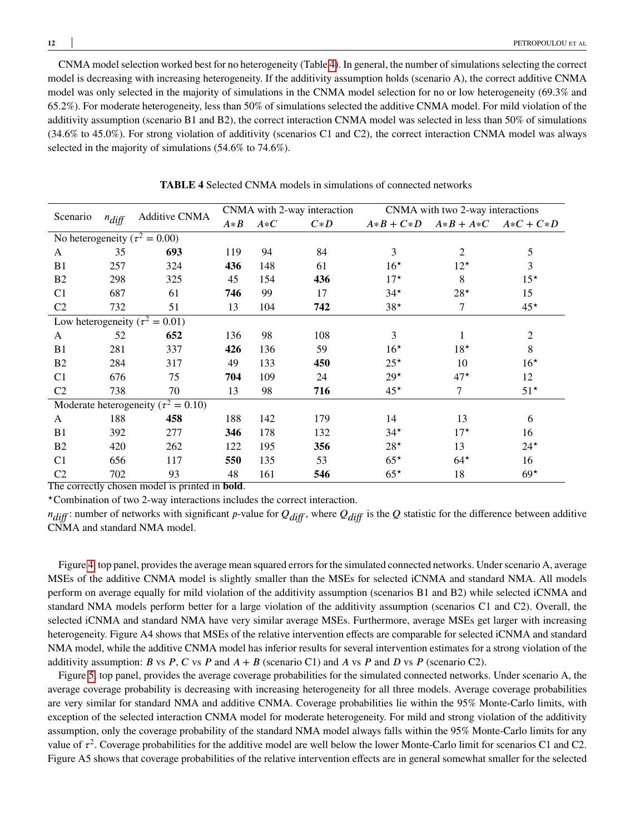CNMA model selection worked best for no heterogeneity (Table [4\)](#page-11-0). In general, the number of simulations selecting the correct model is decreasing with increasing heterogeneity. If the additivity assumption holds (scenario A), the correct additive CNMA model was only selected in the majority of simulations in the CNMA model selection for no or low heterogeneity (69.3% and 65.2%). For moderate heterogeneity, less than 50% of simulations selected the additive CNMA model. For mild violation of the additivity assumption (scenario B1 and B2), the correct interaction CNMA model was selected in less than 50% of simulations (34.6% to 45.0%). For strong violation of additivity (scenarios C1 and C2), the correct interaction CNMA model was always selected in the majority of simulations (54.6% to 74.6%).

<span id="page-11-0"></span>

| Scenario<br>$n_{diff}$                     |     |                                      | CNMA with 2-way interaction |       |       | CNMA with two 2-way interactions |                                        |                |
|--------------------------------------------|-----|--------------------------------------|-----------------------------|-------|-------|----------------------------------|----------------------------------------|----------------|
|                                            |     | <b>Additive CNMA</b>                 | $A*B$                       | $A*C$ | $C*D$ |                                  | $A*B+C*D \quad A*B+ A*C \quad A*C+C*D$ |                |
|                                            |     | No heterogeneity ( $\tau^2 = 0.00$ ) |                             |       |       |                                  |                                        |                |
| A                                          | 35  | 693                                  | 119                         | 94    | 84    | 3                                | 2                                      | 5              |
| B <sub>1</sub>                             | 257 | 324                                  | 436                         | 148   | 61    | $16*$                            | $12^{\star}$                           | 3              |
| B <sub>2</sub>                             | 298 | 325                                  | 45                          | 154   | 436   | $17^{\star}$                     | 8                                      | $15^{\star}$   |
| C <sub>1</sub>                             | 687 | 61                                   | 746                         | 99    | 17    | $34*$                            | $28*$                                  | 15             |
| C <sub>2</sub>                             | 732 | 51                                   | 13                          | 104   | 742   | $38*$                            | 7                                      | $45*$          |
| Low heterogeneity ( $\tau^2 = 0.01$ )      |     |                                      |                             |       |       |                                  |                                        |                |
| A                                          | 52  | 652                                  | 136                         | 98    | 108   | 3                                |                                        | $\overline{2}$ |
| B <sub>1</sub>                             | 281 | 337                                  | 426                         | 136   | 59    | $16*$                            | $18*$                                  | 8              |
| B <sub>2</sub>                             | 284 | 317                                  | 49                          | 133   | 450   | $25^{\star}$                     | 10                                     | $16*$          |
| C <sub>1</sub>                             | 676 | 75                                   | 704                         | 109   | 24    | $29*$                            | $47*$                                  | 12             |
| C <sub>2</sub>                             | 738 | 70                                   | 13                          | 98    | 716   | $45*$                            | $\tau$                                 | $51*$          |
| Moderate heterogeneity ( $\tau^2 = 0.10$ ) |     |                                      |                             |       |       |                                  |                                        |                |
| A                                          | 188 | 458                                  | 188                         | 142   | 179   | 14                               | 13                                     | 6              |
| B <sub>1</sub>                             | 392 | 277                                  | 346                         | 178   | 132   | $34*$                            | $17^{\star}$                           | 16             |
| B <sub>2</sub>                             | 420 | 262                                  | 122                         | 195   | 356   | $28*$                            | 13                                     | $24*$          |
| C <sub>1</sub>                             | 656 | 117                                  | 550                         | 135   | 53    | $65*$                            | $64*$                                  | 16             |
| C <sub>2</sub>                             | 702 | 93                                   | 48                          | 161   | 546   | $65*$                            | 18                                     | $69*$          |

**TABLE 4** Selected CNMA models in simulations of connected networks

The correctly chosen model is printed in **bold**.

*<sup>⋆</sup>*Combination of two 2-way interactions includes the correct interaction.

 $n_{diff}$ : number of networks with significant *p*-value for  $Q_{diff}$ , where  $Q_{diff}$  is the *Q* statistic for the difference between additive CNMA and standard NMA model.

Figure [4,](#page-12-0) top panel, provides the average mean squared errors for the simulated connected networks. Under scenario A, average MSEs of the additive CNMA model is slightly smaller than the MSEs for selected iCNMA and standard NMA. All models perform on average equally for mild violation of the additivity assumption (scenarios B1 and B2) while selected iCNMA and standard NMA models perform better for a large violation of the additivity assumption (scenarios C1 and C2). Overall, the selected iCNMA and standard NMA have very similar average MSEs. Furthermore, average MSEs get larger with increasing heterogeneity. Figure A4 shows that MSEs of the relative intervention effects are comparable for selected iCNMA and standard NMA model, while the additive CNMA model has inferior results for several intervention estimates for a strong violation of the additivity assumption: *B* vs *P*, *C* vs *P* and  $A + B$  (scenario C1) and *A* vs *P* and *D* vs *P* (scenario C2).

Figure [5,](#page-12-1) top panel, provides the average coverage probabilities for the simulated connected networks. Under scenario A, the average coverage probability is decreasing with increasing heterogeneity for all three models. Average coverage probabilities are very similar for standard NMA and additive CNMA. Coverage probabilities lie within the 95% Monte-Carlo limits, with exception of the selected interaction CNMA model for moderate heterogeneity. For mild and strong violation of the additivity assumption, only the coverage probability of the standard NMA model always falls within the 95% Monte-Carlo limits for any value of  $\tau^2$ . Coverage probabilities for the additive model are well below the lower Monte-Carlo limit for scenarios C1 and C2. Figure A5 shows that coverage probabilities of the relative intervention effects are in general somewhat smaller for the selected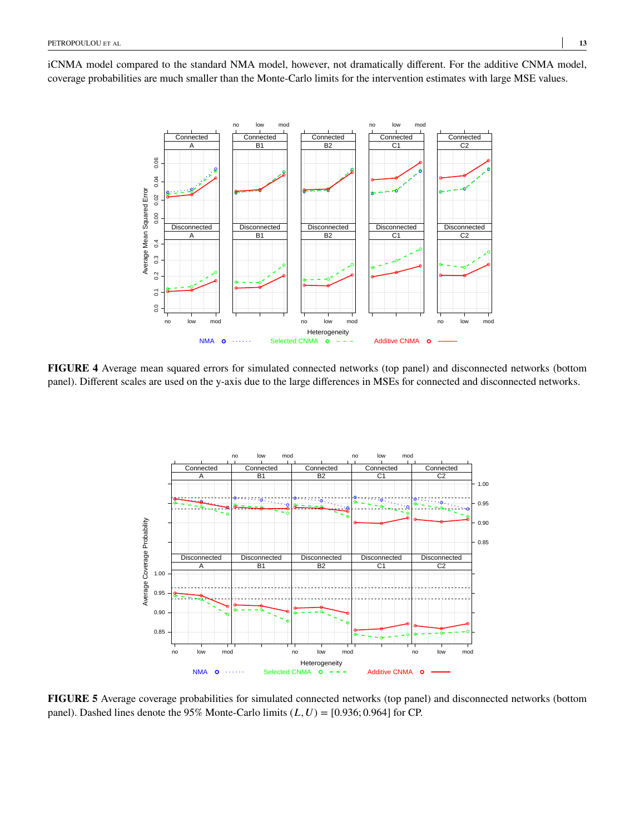<span id="page-12-0"></span>iCNMA model compared to the standard NMA model, however, not dramatically different. For the additive CNMA model, coverage probabilities are much smaller than the Monte-Carlo limits for the intervention estimates with large MSE values.



<span id="page-12-1"></span>**FIGURE 4** Average mean squared errors for simulated connected networks (top panel) and disconnected networks (bottom panel). Different scales are used on the y-axis due to the large differences in MSEs for connected and disconnected networks.



**FIGURE 5** Average coverage probabilities for simulated connected networks (top panel) and disconnected networks (bottom panel). Dashed lines denote the 95% Monte-Carlo limits  $(L, U) = [0.936; 0.964]$  for CP.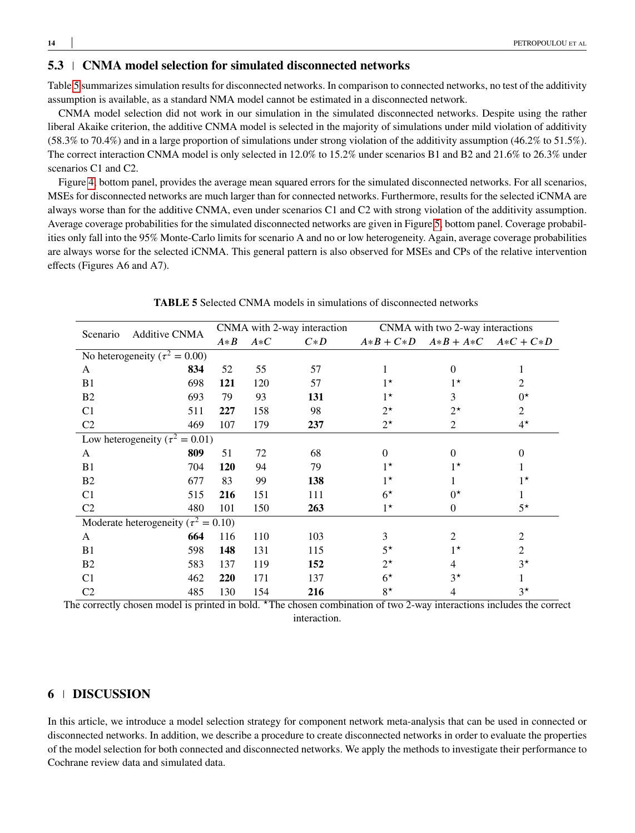# **5.3 CNMA model selection for simulated disconnected networks**

Table [5](#page-13-1) summarizes simulation results for disconnected networks. In comparison to connected networks, no test of the additivity assumption is available, as a standard NMA model cannot be estimated in a disconnected network.

CNMA model selection did not work in our simulation in the simulated disconnected networks. Despite using the rather liberal Akaike criterion, the additive CNMA model is selected in the majority of simulations under mild violation of additivity (58.3% to 70.4%) and in a large proportion of simulations under strong violation of the additivity assumption (46.2% to 51.5%). The correct interaction CNMA model is only selected in 12.0% to 15.2% under scenarios B1 and B2 and 21.6% to 26.3% under scenarios C1 and C2.

Figure [4,](#page-12-0) bottom panel, provides the average mean squared errors for the simulated disconnected networks. For all scenarios, MSEs for disconnected networks are much larger than for connected networks. Furthermore, results for the selected iCNMA are always worse than for the additive CNMA, even under scenarios C1 and C2 with strong violation of the additivity assumption. Average coverage probabilities for the simulated disconnected networks are given in Figure [5,](#page-12-1) bottom panel. Coverage probabilities only fall into the 95% Monte-Carlo limits for scenario A and no or low heterogeneity. Again, average coverage probabilities are always worse for the selected iCNMA. This general pattern is also observed for MSEs and CPs of the relative intervention effects (Figures A6 and A7).

<span id="page-13-1"></span>

| Scenario       | <b>Additive CNMA</b>                       | CNMA with 2-way interaction |       |       | CNMA with two 2-way interactions |                               |             |
|----------------|--------------------------------------------|-----------------------------|-------|-------|----------------------------------|-------------------------------|-------------|
|                |                                            | $A*B$                       | $A*C$ | $C*D$ |                                  | $A*B+C*D \tA*B+A*C \tA*C+C*D$ |             |
|                | No heterogeneity ( $\tau^2 = 0.00$ )       |                             |       |       |                                  |                               |             |
| A              | 834                                        | 52                          | 55    | 57    |                                  | $\Omega$                      | 1           |
| B1             | 698                                        | 121                         | 120   | 57    | $1^{\star}$                      | $1^{\star}$                   | 2           |
| B <sub>2</sub> | 693                                        | 79                          | 93    | 131   | $1^{\star}$                      | 3                             | $0^{\star}$ |
| C <sub>1</sub> | 511                                        | 227                         | 158   | 98    | $2^{\star}$                      | $2^{\star}$                   | 2           |
| C <sub>2</sub> | 469                                        | 107                         | 179   | 237   | $2^{\star}$                      | 2                             | $4^{\star}$ |
|                | Low heterogeneity ( $\tau^2 = 0.01$ )      |                             |       |       |                                  |                               |             |
| A              | 809                                        | 51                          | 72    | 68    | $\Omega$                         | $\Omega$                      | $\Omega$    |
| B1             | 704                                        | <b>120</b>                  | 94    | 79    | $1^{\star}$                      | $1^{\star}$                   |             |
| B <sub>2</sub> | 677                                        | 83                          | 99    | 138   | $1^{\star}$                      |                               | $1^{\star}$ |
| C <sub>1</sub> | 515                                        | 216                         | 151   | 111   | $6^{\star}$                      | $0^{\star}$                   |             |
| C <sub>2</sub> | 480                                        | 101                         | 150   | 263   | $1^{\star}$                      | $\mathbf{0}$                  | $5^{\star}$ |
|                | Moderate heterogeneity ( $\tau^2 = 0.10$ ) |                             |       |       |                                  |                               |             |
| A              | 664                                        | 116                         | 110   | 103   | 3                                | 2                             | 2           |
| B1             | 598                                        | 148                         | 131   | 115   | $5^{\star}$                      | $1^{\star}$                   | 2           |
| B <sub>2</sub> | 583                                        | 137                         | 119   | 152   | $2^{\star}$                      | 4                             | $3^{\star}$ |
| C <sub>1</sub> | 462                                        | 220                         | 171   | 137   | $6^{\star}$                      | $3^{\star}$                   | 1           |
| C <sub>2</sub> | 485                                        | 130                         | 154   | 216   | $8^{\star}$                      | 4                             | $3^{\star}$ |

**TABLE 5** Selected CNMA models in simulations of disconnected networks

The correctly chosen model is printed in bold. <sup>★</sup>The chosen combination of two 2-way interactions includes the correct interaction.

# <span id="page-13-0"></span>**6 DISCUSSION**

In this article, we introduce a model selection strategy for component network meta-analysis that can be used in connected or disconnected networks. In addition, we describe a procedure to create disconnected networks in order to evaluate the properties of the model selection for both connected and disconnected networks. We apply the methods to investigate their performance to Cochrane review data and simulated data.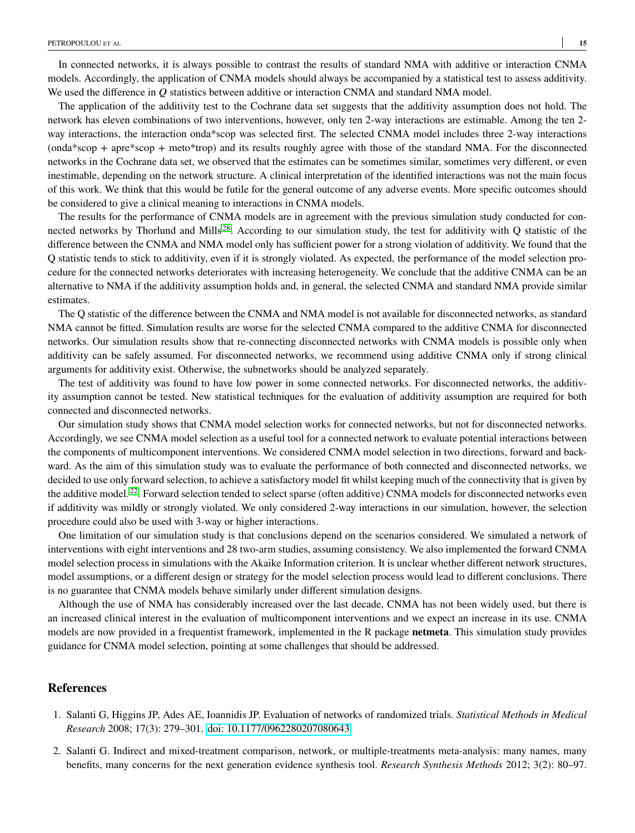In connected networks, it is always possible to contrast the results of standard NMA with additive or interaction CNMA models. Accordingly, the application of CNMA models should always be accompanied by a statistical test to assess additivity. We used the difference in *Q* statistics between additive or interaction CNMA and standard NMA model.

The application of the additivity test to the Cochrane data set suggests that the additivity assumption does not hold. The network has eleven combinations of two interventions, however, only ten 2-way interactions are estimable. Among the ten 2 way interactions, the interaction onda\*scop was selected first. The selected CNMA model includes three 2-way interactions (onda\*scop + apre\*scop + meto\*trop) and its results roughly agree with those of the standard NMA. For the disconnected networks in the Cochrane data set, we observed that the estimates can be sometimes similar, sometimes very different, or even inestimable, depending on the network structure. A clinical interpretation of the identified interactions was not the main focus of this work. We think that this would be futile for the general outcome of any adverse events. More specific outcomes should be considered to give a clinical meaning to interactions in CNMA models.

The results for the performance of CNMA models are in agreement with the previous simulation study conducted for con-nected networks by Thorlund and Mills<sup>[28](#page-16-8)</sup>. According to our simulation study, the test for additivity with Q statistic of the difference between the CNMA and NMA model only has sufficient power for a strong violation of additivity. We found that the Q statistic tends to stick to additivity, even if it is strongly violated. As expected, the performance of the model selection procedure for the connected networks deteriorates with increasing heterogeneity. We conclude that the additive CNMA can be an alternative to NMA if the additivity assumption holds and, in general, the selected CNMA and standard NMA provide similar estimates.

The Q statistic of the difference between the CNMA and NMA model is not available for disconnected networks, as standard NMA cannot be fitted. Simulation results are worse for the selected CNMA compared to the additive CNMA for disconnected networks. Our simulation results show that re-connecting disconnected networks with CNMA models is possible only when additivity can be safely assumed. For disconnected networks, we recommend using additive CNMA only if strong clinical arguments for additivity exist. Otherwise, the subnetworks should be analyzed separately.

The test of additivity was found to have low power in some connected networks. For disconnected networks, the additivity assumption cannot be tested. New statistical techniques for the evaluation of additivity assumption are required for both connected and disconnected networks.

Our simulation study shows that CNMA model selection works for connected networks, but not for disconnected networks. Accordingly, we see CNMA model selection as a useful tool for a connected network to evaluate potential interactions between the components of multicomponent interventions. We considered CNMA model selection in two directions, forward and backward. As the aim of this simulation study was to evaluate the performance of both connected and disconnected networks, we decided to use only forward selection, to achieve a satisfactory model fit whilst keeping much of the connectivity that is given by the additive model.<sup>[22](#page-16-2)</sup>. Forward selection tended to select sparse (often additive) CNMA models for disconnected networks even if additivity was mildly or strongly violated. We only considered 2-way interactions in our simulation, however, the selection procedure could also be used with 3-way or higher interactions.

One limitation of our simulation study is that conclusions depend on the scenarios considered. We simulated a network of interventions with eight interventions and 28 two-arm studies, assuming consistency. We also implemented the forward CNMA model selection process in simulations with the Akaike Information criterion. It is unclear whether different network structures, model assumptions, or a different design or strategy for the model selection process would lead to different conclusions. There is no guarantee that CNMA models behave similarly under different simulation designs.

Although the use of NMA has considerably increased over the last decade, CNMA has not been widely used, but there is an increased clinical interest in the evaluation of multicomponent interventions and we expect an increase in its use. CNMA models are now provided in a frequentist framework, implemented in the R package **netmeta**. This simulation study provides guidance for CNMA model selection, pointing at some challenges that should be addressed.

#### **References**

- <span id="page-14-0"></span>1. Salanti G, Higgins JP, Ades AE, Ioannidis JP. Evaluation of networks of randomized trials. *Statistical Methods in Medical Research* 2008; 17(3): 279–301. [doi: 10.1177/0962280207080643](http://dx.doi.org/10.1177/0962280207080643)
- <span id="page-14-1"></span>2. Salanti G. Indirect and mixed-treatment comparison, network, or multiple-treatments meta-analysis: many names, many benefits, many concerns for the next generation evidence synthesis tool. *Research Synthesis Methods* 2012; 3(2): 80–97.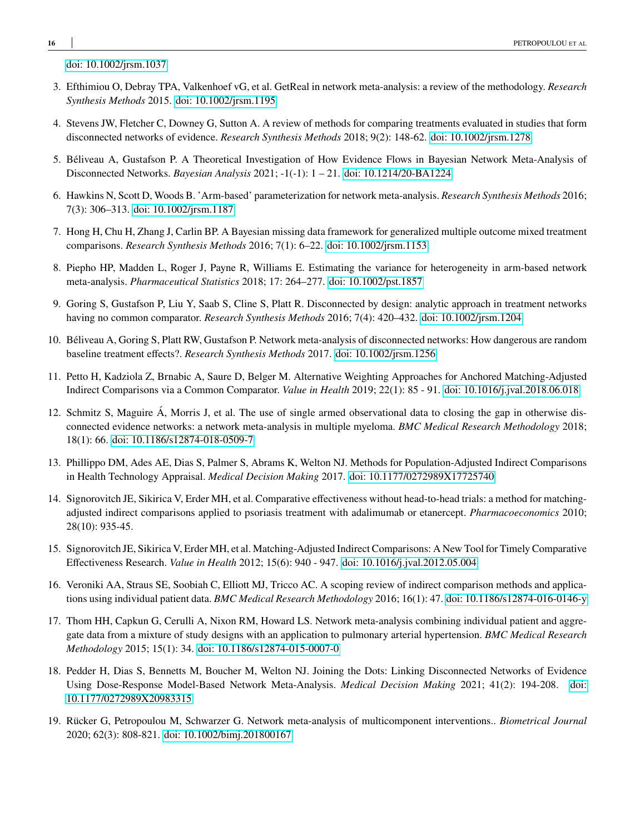[doi: 10.1002/jrsm.1037](http://dx.doi.org/10.1002/jrsm.1037)

- <span id="page-15-0"></span>3. Efthimiou O, Debray TPA, Valkenhoef vG, et al. GetReal in network meta-analysis: a review of the methodology. *Research Synthesis Methods* 2015. [doi: 10.1002/jrsm.1195](http://dx.doi.org/10.1002/jrsm.1195)
- <span id="page-15-1"></span>4. Stevens JW, Fletcher C, Downey G, Sutton A. A review of methods for comparing treatments evaluated in studies that form disconnected networks of evidence. *Research Synthesis Methods* 2018; 9(2): 148-62. [doi: 10.1002/jrsm.1278](http://dx.doi.org/10.1002/jrsm.1278)
- <span id="page-15-2"></span>5. Béliveau A, Gustafson P. A Theoretical Investigation of How Evidence Flows in Bayesian Network Meta-Analysis of Disconnected Networks. *Bayesian Analysis* 2021; -1(-1): 1 – 21. [doi: 10.1214/20-BA1224](http://dx.doi.org/10.1214/20-BA1224)
- <span id="page-15-3"></span>6. Hawkins N, Scott D, Woods B. 'Arm-based' parameterization for network meta-analysis. *Research Synthesis Methods* 2016; 7(3): 306–313. [doi: 10.1002/jrsm.1187](http://dx.doi.org/10.1002/jrsm.1187)
- <span id="page-15-4"></span>7. Hong H, Chu H, Zhang J, Carlin BP. A Bayesian missing data framework for generalized multiple outcome mixed treatment comparisons. *Research Synthesis Methods* 2016; 7(1): 6–22. [doi: 10.1002/jrsm.1153](http://dx.doi.org/10.1002/jrsm.1153)
- <span id="page-15-5"></span>8. Piepho HP, Madden L, Roger J, Payne R, Williams E. Estimating the variance for heterogeneity in arm-based network meta-analysis. *Pharmaceutical Statistics* 2018; 17: 264–277. [doi: 10.1002/pst.1857](http://dx.doi.org/10.1002/pst.1857)
- <span id="page-15-6"></span>9. Goring S, Gustafson P, Liu Y, Saab S, Cline S, Platt R. Disconnected by design: analytic approach in treatment networks having no common comparator. *Research Synthesis Methods* 2016; 7(4): 420–432. [doi: 10.1002/jrsm.1204](http://dx.doi.org/10.1002/jrsm.1204)
- <span id="page-15-7"></span>10. Béliveau A, Goring S, Platt RW, Gustafson P. Network meta-analysis of disconnected networks: How dangerous are random baseline treatment effects?. *Research Synthesis Methods* 2017. [doi: 10.1002/jrsm.1256](http://dx.doi.org/10.1002/jrsm.1256)
- <span id="page-15-8"></span>11. Petto H, Kadziola Z, Brnabic A, Saure D, Belger M. Alternative Weighting Approaches for Anchored Matching-Adjusted Indirect Comparisons via a Common Comparator. *Value in Health* 2019; 22(1): 85 - 91. [doi: 10.1016/j.jval.2018.06.018](http://dx.doi.org/10.1016/j.jval.2018.06.018)
- <span id="page-15-9"></span>12. Schmitz S, Maguire Á, Morris J, et al. The use of single armed observational data to closing the gap in otherwise disconnected evidence networks: a network meta-analysis in multiple myeloma. *BMC Medical Research Methodology* 2018; 18(1): 66. [doi: 10.1186/s12874-018-0509-7](http://dx.doi.org/10.1186/s12874-018-0509-7)
- <span id="page-15-10"></span>13. Phillippo DM, Ades AE, Dias S, Palmer S, Abrams K, Welton NJ. Methods for Population-Adjusted Indirect Comparisons in Health Technology Appraisal. *Medical Decision Making* 2017. [doi: 10.1177/0272989X17725740](http://dx.doi.org/10.1177/0272989X17725740)
- <span id="page-15-11"></span>14. Signorovitch JE, Sikirica V, Erder MH, et al. Comparative effectiveness without head-to-head trials: a method for matchingadjusted indirect comparisons applied to psoriasis treatment with adalimumab or etanercept. *Pharmacoeconomics* 2010; 28(10): 935-45.
- <span id="page-15-12"></span>15. Signorovitch JE, Sikirica V, Erder MH, et al. Matching-Adjusted Indirect Comparisons: A New Tool for Timely Comparative Effectiveness Research. *Value in Health* 2012; 15(6): 940 - 947. [doi: 10.1016/j.jval.2012.05.004](http://dx.doi.org/10.1016/j.jval.2012.05.004)
- <span id="page-15-13"></span>16. Veroniki AA, Straus SE, Soobiah C, Elliott MJ, Tricco AC. A scoping review of indirect comparison methods and applications using individual patient data. *BMC Medical Research Methodology* 2016; 16(1): 47. [doi: 10.1186/s12874-016-0146-y](http://dx.doi.org/10.1186/s12874-016-0146-y)
- <span id="page-15-14"></span>17. Thom HH, Capkun G, Cerulli A, Nixon RM, Howard LS. Network meta-analysis combining individual patient and aggregate data from a mixture of study designs with an application to pulmonary arterial hypertension. *BMC Medical Research Methodology* 2015; 15(1): 34. [doi: 10.1186/s12874-015-0007-0](http://dx.doi.org/10.1186/s12874-015-0007-0)
- <span id="page-15-15"></span>18. Pedder H, Dias S, Bennetts M, Boucher M, Welton NJ. Joining the Dots: Linking Disconnected Networks of Evidence Using Dose-Response Model-Based Network Meta-Analysis. *Medical Decision Making* 2021; 41(2): 194-208. [doi:](http://dx.doi.org/10.1177/0272989X20983315) [10.1177/0272989X20983315](http://dx.doi.org/10.1177/0272989X20983315)
- <span id="page-15-16"></span>19. Rücker G, Petropoulou M, Schwarzer G. Network meta-analysis of multicomponent interventions.. *Biometrical Journal* 2020; 62(3): 808-821. [doi: 10.1002/bimj.201800167](http://dx.doi.org/10.1002/bimj.201800167)